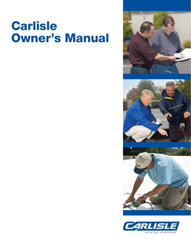# **Carlisle Owner's Manual**







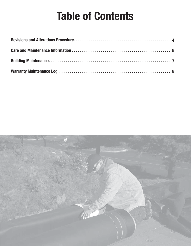# **Table of Contents**

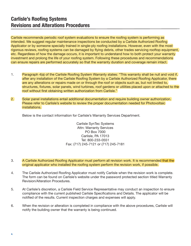### **Carlisle's Roofing Systems Revisions and Alterations Procedures**

Carlisle recommends periodic roof system evaluations to ensure the roofing system is performing as intended. We suggest regular maintenance inspections be conducted by a Carlisle Authorized Roofing Applicator or by someone specially trained in single-ply roofing installations. However, even with the most rigorous reviews, roofing systems can be damaged by flying debris, other trades servicing rooftop equipment, etc. Regardless of how the damage occurs, it is important to understand how to both protect your warranty investment and prolong the life of your roofing system. Following these procedures and recommendations can ensure repairs are performed accurately so that the warranty duration and coverage remain intact.

- 1. Paragraph 4(a) of the Carlisle Roofing System Warranty states: "This warranty shall be null and void if, after any installation of the Carlisle Roofing System by a Carlisle Authorized Roofing Applicator, there are any alterations or repairs made on or through the roof or objects such as, but not limited to, structures, fixtures, solar panels, wind turbines, roof gardens or utilities placed upon or attached to the roof without first obtaining written authorization from Carlisle."
- 2. Solar panel installations entail additional documentation and require building owner authorization. Please refer to Carlisle's website to review the proper documentation needed for Photovoltaic installations.

Below is the contact information for Carlisle's Warranty Services Department.

Carlisle SynTec Systems Attn: Warranty Services PO Box 7000 Carlisle, PA 17013 Tel: 800-233-0551 Fax: (717) 245-7121 or (717) 245-7181

- 3. A Carlisle Authorized Roofing Applicator must perform all revision work. It is recommended that the original applicator who installed the roofing system perform the revision work, if possible.
- 4. The Carlisle Authorized Roofing Applicator must notify Carlisle when the revision work is complete. The form can be found on Carlisle's website under the password protected section titled Warranty Revision/Alteration Procedures.
- 5. At Carlisle's discretion, a Carlisle Field Service Representative may conduct an inspection to ensure compliance with the current published Carlisle Specifications and Details. The applicator will be notified of the results. Current inspection charges and expenses will apply.
- 6. When the revision or alteration is completed in compliance with the above procedures, Carlisle will notify the building owner that the warranty is being continued.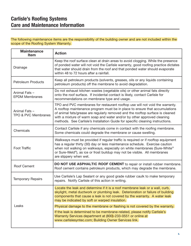### **Carlisle's Roofing Systems Care and Maintenance Information**

The following maintenance items are the responsibility of the building owner and are not included within the scope of the Roofing System Warranty.

| <b>Maintenance</b><br><b>Item</b>     | <b>Action</b>                                                                                                                                                                                                                                                                                                                                                                                              |
|---------------------------------------|------------------------------------------------------------------------------------------------------------------------------------------------------------------------------------------------------------------------------------------------------------------------------------------------------------------------------------------------------------------------------------------------------------|
| Drainage                              | Keep the roof surface clean at drain areas to avoid clogging. While the presence<br>of ponded water will not void the Carlisle warranty, good roofing practice dictates<br>that water should drain from the roof and that ponded water should evaporate<br>within 48 to 72 hours after a rainfall.                                                                                                         |
| <b>Petroleum Products</b>             | Keep all petroleum products (solvents, greases, oils or any liquids containing<br>petroleum products) off the membrane to avoid degradation.                                                                                                                                                                                                                                                               |
| Animal Fats-<br><b>EPDM Membranes</b> | Do not exhaust kitchen wastes (vegetable oils) or other animal fats directly<br>onto the roof surface. If incidental contact is likely, contact Carlisle for<br>recommendations on membrane type and usage.                                                                                                                                                                                                |
| Animal Fats-<br>TPO & PVC Membranes   | TPO and PVC membranes for restaurant rooftop use will not void the warranty.<br>A rooftop maintenance program must be in place to ensure that accumulations<br>of animal fats/grease are regularly removed and the rooftop surface is cleaned<br>with a mixture of warm soap and water and/or by other approved cleaning<br>methods. See Carlisle's Installation Guide for specific cleaning instructions. |
| Chemicals                             | Contact Carlisle if any chemicals come in contact with the roofing membrane.<br>Some chemicals could degrade the membrane or cause swelling.                                                                                                                                                                                                                                                               |
| <b>Foot Traffic</b>                   | Walkways must be provided if regular traffic is required or if rooftop equipment<br>has a regular thirty (30) day or less maintenance schedule. Exercise caution<br>when not walking on walkways, especially on white membranes (Sure-White®<br>or Sure-Weld®), as ice or frost buildup may not be visible. All membranes<br>are slippery when wet.                                                        |
| <b>Roof Cement</b>                    | DO NOT USE ASPHALTIC ROOF CEMENT to repair or install rubber membrane.<br>Roof cement contains petroleum products, which may degrade the membrane.                                                                                                                                                                                                                                                         |
| <b>Temporary Repairs</b>              | Use Carlisle's Lap Sealant or any good grade rubber caulk to make temporary<br>repairs. Notify Carlisle of this action in writing.                                                                                                                                                                                                                                                                         |
|                                       | Locate the leak and determine if it is a roof membrane leak or a wall, curb,<br>skylight, metal ductwork or plumbing leak. Deterioration or failure of building<br>components that cause a leak is not covered by the warranty. A water leak<br>may be indicated by soft or warped insulation.                                                                                                             |
| Leaks                                 | Physical damage to the membrane or flashing is not covered by the warranty.<br>If the leak is determined to be membrane-related, please notify Carlisle's<br>Warranty Services department at (800)-233-0551 or online at<br>www.carlislesyntec.com; Building Owner Services link.                                                                                                                          |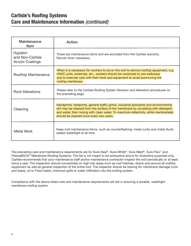#### **Carlisle's Roofing Systems Care and Maintenance Information** *(continued)*

| Maintenance<br><b>Item</b>                             | Action                                                                                                                                                                                                                                                                                                         |
|--------------------------------------------------------|----------------------------------------------------------------------------------------------------------------------------------------------------------------------------------------------------------------------------------------------------------------------------------------------------------------|
| Hypalon<br>and Non-Carlisle<br><b>Acrylic Coatings</b> | These are maintenance items and are excluded from the Carlisle warranty.<br>Recoat when necessary.                                                                                                                                                                                                             |
| Rooftop Maintenance                                    | When it is necessary for workers to be on the roof to service rooftop equipment, e.g.<br>HVAC units, antennas, etc., workers should be cautioned to use walkways<br>and to exercise care with their tools and equipment to avoid puncturing the<br>roofing membrane.                                           |
| <b>Roof Alterations</b>                                | Please refer to the Carlisle Roofing System Revision and Alteration procedures on<br>the preceding page.                                                                                                                                                                                                       |
| Cleaning                                               | Handprints, footprints, general traffic grime, industrial pollutants and environmental<br>dirt may be cleaned from the surface of the membrane by scrubbing with detergent<br>and water, then rinsing with clean water. To maximize reflectivity, white membrane(s)<br>should be cleaned once every two years. |
| <b>Metal Work</b>                                      | Keep roof maintenance items, such as counterflashing, metal curbs and metal ducts<br>sealed watertight at all time.                                                                                                                                                                                            |

The preceding care and maintenance requirements are for Sure-Seal®, Sure-White®, Sure-Weld®, Sure-Flex™ and FleeceBACK<sup>®</sup> Membrane Roofing Systems. The list is not meant to be exhaustive and is for illustrative purposes only. Carlisle recommends that your maintenance staff and/or maintenance contractor inspect the roof periodically or at least twice a year. The inspection should concentrate on high-risk areas such as roof hatches, drains and around all rooftop equipment as well as general inspection of the entire roof. The inspector should be looking for membrane damage (cuts and tears), oil or Freon leaks, chemical spills or water infiltration into the roofing system.

Compliance with the above-listed care and maintenance requirements will aid in ensuring a durable, watertight membrane roofing system.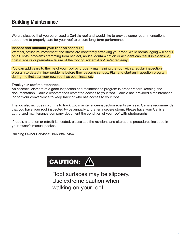### **Building Maintenance**

We are pleased that you purchased a Carlisle roof and would like to provide some recommendations about how to properly care for your roof to ensure long-term performance.

#### **Inspect and maintain your roof on schedule.**

Weather, structural movement and stress are constantly attacking your roof. While normal aging will occur on all roofs, problems stemming from neglect, abuse, contamination or accident can result in extensive, costly repairs or premature failure of the roofing system *if not detected early.* 

You can add years to the life of your roof by properly maintaining the roof with a regular inspection program to detect minor problems before they become serious. Plan and start an inspection program during the first year your new roof has been installed.

#### **Track your roof maintenance.**

An essential element of a good inspection and maintenance program is proper record keeping and documentation. Carlisle recommends restricted access to your roof. Carlisle has provided a maintenance log for your convenience to keep track of who has access to your roof.

The log also includes columns to track two maintenance/inspection events per year. Carlisle recommends that you have your roof inspected twice annually and after a severe storm. Please have your Carlisle authorized maintenance company document the condition of your roof with photographs.

If repair, alteration or retrofit is needed, please see the revisions and alterations procedures included in your owner's manual packet.

Building Owner Services: 866-386-7454

## **CAUTION:** <u>/\</u>

Roof surfaces may be slippery. Use extreme caution when walking on your roof.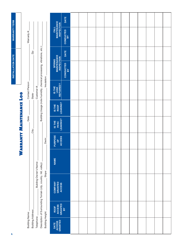|                      |            |                     |                   |                        |                                                                        |                  |                                                   | DATE                              |  |  |                                              |                        |  |  |  |  |  |  |
|----------------------|------------|---------------------|-------------------|------------------------|------------------------------------------------------------------------|------------------|---------------------------------------------------|-----------------------------------|--|--|----------------------------------------------|------------------------|--|--|--|--|--|--|
| <b>WARRANTY TERM</b> |            | Warranty #:         |                   |                        |                                                                        |                  | <b>FALL</b><br>MAINTENANCE<br>INSPECTION          | <b>CONDUCTED</b><br>BY            |  |  |                                              |                        |  |  |  |  |  |  |
|                      |            |                     | Zip:              |                        |                                                                        |                  |                                                   | <b>DATE</b>                       |  |  |                                              |                        |  |  |  |  |  |  |
| INSTALLATION DATE    |            |                     |                   |                        |                                                                        |                  |                                                   |                                   |  |  | <b>SPRING<br/>MAINTENANCE<br/>INSPECTION</b> | <b>CONDUCTED</b><br>BY |  |  |  |  |  |  |
|                      | <b>901</b> | Contact Person:     | State:            | Customer #:            |                                                                        | Insulation:      | IS THE<br>LEAK<br>REPAIRED?                       |                                   |  |  |                                              |                        |  |  |  |  |  |  |
|                      |            |                     |                   |                        | Building Usage (note humidity, chemical processing, vibrations, etc.): |                  |                                                   | LEAKING?<br>IS THE<br><b>ROOF</b> |  |  |                                              |                        |  |  |  |  |  |  |
|                      | Date:      |                     | City:             |                        |                                                                        |                  |                                                   | HVAC<br>LEAKING?<br>IS THE        |  |  |                                              |                        |  |  |  |  |  |  |
|                      |            | ARRANTY MAINTENANCE |                   |                        |                                                                        | Deck:            | PURPOSE<br><b>ACCESS</b><br>$\overline{0}$        |                                   |  |  |                                              |                        |  |  |  |  |  |  |
|                      | 3          |                     |                   |                        |                                                                        | Slope:           | <b>NAME</b>                                       |                                   |  |  |                                              |                        |  |  |  |  |  |  |
|                      |            |                     |                   | Building Owner's Name: | Description of Surrounding Terrain (city, country, hill, valley):      |                  | <b>GRANTED</b><br><b>COMPANY</b><br><b>ACCESS</b> |                                   |  |  |                                              |                        |  |  |  |  |  |  |
|                      |            |                     |                   |                        |                                                                        |                  | <b>ACCESS</b><br><b>ROOF</b>                      | GRANTED<br>BY                     |  |  |                                              |                        |  |  |  |  |  |  |
|                      |            | Building Name:      | Building Address: | Telephone:             |                                                                        | Building Height: | DATE<br>ACCESS<br>GRANTED                         |                                   |  |  |                                              |                        |  |  |  |  |  |  |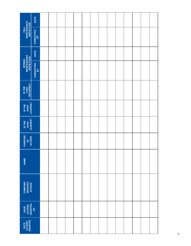| <b>FALL<br/>MAINTENANCE<br/>INSPECTION</b>   | DATE                   |  |  |  |  |  |  |  |
|----------------------------------------------|------------------------|--|--|--|--|--|--|--|
|                                              | <b>CONDUCTED</b><br>BY |  |  |  |  |  |  |  |
|                                              | <b>DATE</b>            |  |  |  |  |  |  |  |
| <b>SPRING<br/>MAINTENANCE<br/>INSPECTION</b> | <b>CONDUCTED</b><br>BY |  |  |  |  |  |  |  |
| IS THE<br>LEAK<br>REPAIRED?                  |                        |  |  |  |  |  |  |  |
| IS THE<br>ROOF<br>LEAKING?                   |                        |  |  |  |  |  |  |  |
| IS THE<br>HVAC<br>LEAKING?                   |                        |  |  |  |  |  |  |  |
| PURPOSE<br><b>ACCESS</b><br><b>b</b>         |                        |  |  |  |  |  |  |  |
| <b>NAME</b>                                  |                        |  |  |  |  |  |  |  |
| <b>COMPANY<br/>GRANTED<br/>ACCESS</b>        |                        |  |  |  |  |  |  |  |
| ROOF<br>ACCESS<br>GRANTED<br>BY              |                        |  |  |  |  |  |  |  |
| DATE<br>ACCESS<br>GRANTED                    |                        |  |  |  |  |  |  |  |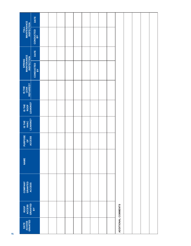|                                              | DATE                   |  |  |  |  |                     |  |  |
|----------------------------------------------|------------------------|--|--|--|--|---------------------|--|--|
| <b>FALL<br/>MAINTENANCE<br/>INSPECTION</b>   | CONDUCTED<br>BY        |  |  |  |  |                     |  |  |
|                                              | DATE                   |  |  |  |  |                     |  |  |
| <b>SPRING<br/>MAINTENANCE<br/>INSPECTION</b> | <b>CONDUCTED</b><br>BY |  |  |  |  |                     |  |  |
| IS THE<br>LEAK<br>REPAIRED?                  |                        |  |  |  |  |                     |  |  |
| IS THE<br>ROOF<br>LEAKING?                   |                        |  |  |  |  |                     |  |  |
| IS THE<br>HVAC<br>LEAKING?                   |                        |  |  |  |  |                     |  |  |
| PURPOSE<br>OF<br>ACCESS                      |                        |  |  |  |  |                     |  |  |
| <b>NAME</b>                                  |                        |  |  |  |  |                     |  |  |
| <b>COMPANY<br/>GRANTED<br/>ACCESS</b>        |                        |  |  |  |  |                     |  |  |
| ROOF<br>ACCESS<br>GRANTED<br>BY              |                        |  |  |  |  |                     |  |  |
| DATE<br>ACCESS<br>GRANTED                    |                        |  |  |  |  | ADDITIONAL COMMENTS |  |  |